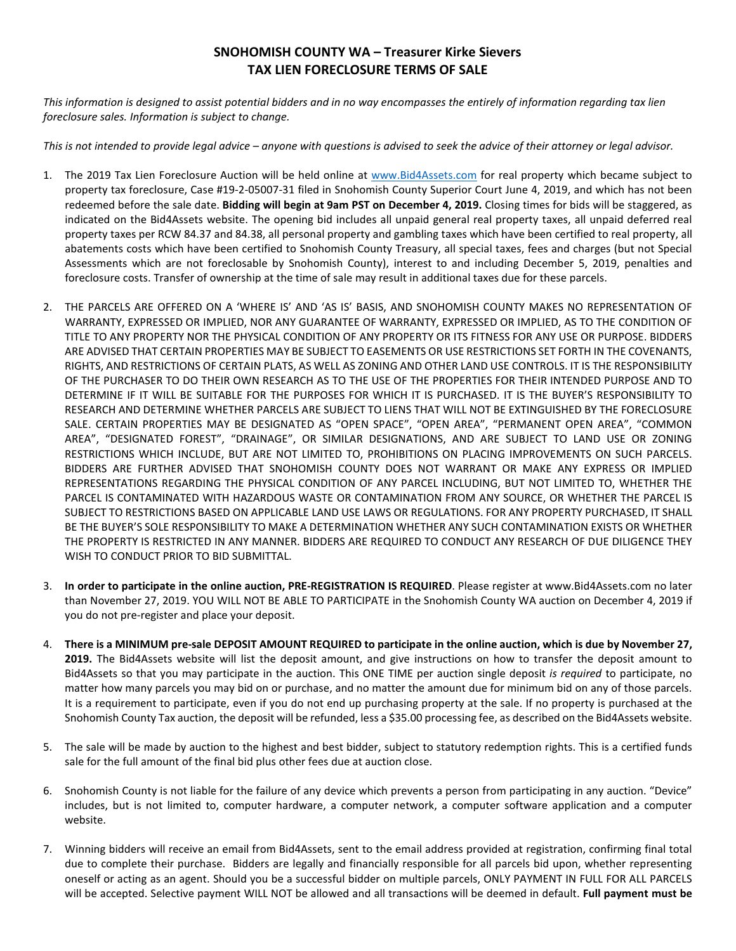## **SNOHOMISH COUNTY WA – Treasurer Kirke Sievers TAX LIEN FORECLOSURE TERMS OF SALE**

*This information is designed to assist potential bidders and in no way encompasses the entirely of information regarding tax lien foreclosure sales. Information is subject to change.* 

*This is not intended to provide legal advice – anyone with questions is advised to seek the advice of their attorney or legal advisor.*

- 1. The 2019 Tax Lien Foreclosure Auction will be held online at [www.Bid4Assets.com](http://www.bid4assets.com/) for real property which became subject to property tax foreclosure, Case #19-2-05007-31 filed in Snohomish County Superior Court June 4, 2019, and which has not been redeemed before the sale date. **Bidding will begin at 9am PST on December 4, 2019.** Closing times for bids will be staggered, as indicated on the Bid4Assets website. The opening bid includes all unpaid general real property taxes, all unpaid deferred real property taxes per RCW 84.37 and 84.38, all personal property and gambling taxes which have been certified to real property, all abatements costs which have been certified to Snohomish County Treasury, all special taxes, fees and charges (but not Special Assessments which are not foreclosable by Snohomish County), interest to and including December 5, 2019, penalties and foreclosure costs. Transfer of ownership at the time of sale may result in additional taxes due for these parcels.
- 2. THE PARCELS ARE OFFERED ON A 'WHERE IS' AND 'AS IS' BASIS, AND SNOHOMISH COUNTY MAKES NO REPRESENTATION OF WARRANTY, EXPRESSED OR IMPLIED, NOR ANY GUARANTEE OF WARRANTY, EXPRESSED OR IMPLIED, AS TO THE CONDITION OF TITLE TO ANY PROPERTY NOR THE PHYSICAL CONDITION OF ANY PROPERTY OR ITS FITNESS FOR ANY USE OR PURPOSE. BIDDERS ARE ADVISED THAT CERTAIN PROPERTIES MAY BE SUBJECT TO EASEMENTS OR USE RESTRICTIONS SET FORTH IN THE COVENANTS, RIGHTS, AND RESTRICTIONS OF CERTAIN PLATS, AS WELL AS ZONING AND OTHER LAND USE CONTROLS. IT IS THE RESPONSIBILITY OF THE PURCHASER TO DO THEIR OWN RESEARCH AS TO THE USE OF THE PROPERTIES FOR THEIR INTENDED PURPOSE AND TO DETERMINE IF IT WILL BE SUITABLE FOR THE PURPOSES FOR WHICH IT IS PURCHASED. IT IS THE BUYER'S RESPONSIBILITY TO RESEARCH AND DETERMINE WHETHER PARCELS ARE SUBJECT TO LIENS THAT WILL NOT BE EXTINGUISHED BY THE FORECLOSURE SALE. CERTAIN PROPERTIES MAY BE DESIGNATED AS "OPEN SPACE", "OPEN AREA", "PERMANENT OPEN AREA", "COMMON AREA", "DESIGNATED FOREST", "DRAINAGE", OR SIMILAR DESIGNATIONS, AND ARE SUBJECT TO LAND USE OR ZONING RESTRICTIONS WHICH INCLUDE, BUT ARE NOT LIMITED TO, PROHIBITIONS ON PLACING IMPROVEMENTS ON SUCH PARCELS. BIDDERS ARE FURTHER ADVISED THAT SNOHOMISH COUNTY DOES NOT WARRANT OR MAKE ANY EXPRESS OR IMPLIED REPRESENTATIONS REGARDING THE PHYSICAL CONDITION OF ANY PARCEL INCLUDING, BUT NOT LIMITED TO, WHETHER THE PARCEL IS CONTAMINATED WITH HAZARDOUS WASTE OR CONTAMINATION FROM ANY SOURCE, OR WHETHER THE PARCEL IS SUBJECT TO RESTRICTIONS BASED ON APPLICABLE LAND USE LAWS OR REGULATIONS. FOR ANY PROPERTY PURCHASED, IT SHALL BE THE BUYER'S SOLE RESPONSIBILITY TO MAKE A DETERMINATION WHETHER ANY SUCH CONTAMINATION EXISTS OR WHETHER THE PROPERTY IS RESTRICTED IN ANY MANNER. BIDDERS ARE REQUIRED TO CONDUCT ANY RESEARCH OF DUE DILIGENCE THEY WISH TO CONDUCT PRIOR TO BID SUBMITTAL.
- 3. **In order to participate in the online auction, PRE-REGISTRATION IS REQUIRED**. Please register at www.Bid4Assets.com no later than November 27, 2019. YOU WILL NOT BE ABLE TO PARTICIPATE in the Snohomish County WA auction on December 4, 2019 if you do not pre-register and place your deposit.
- 4. **There is a MINIMUM pre-sale DEPOSIT AMOUNT REQUIRED to participate in the online auction, which is due by November 27, 2019.** The Bid4Assets website will list the deposit amount, and give instructions on how to transfer the deposit amount to Bid4Assets so that you may participate in the auction. This ONE TIME per auction single deposit *is required* to participate, no matter how many parcels you may bid on or purchase, and no matter the amount due for minimum bid on any of those parcels. It is a requirement to participate, even if you do not end up purchasing property at the sale. If no property is purchased at the Snohomish County Tax auction, the deposit will be refunded, less a \$35.00 processing fee, as described on the Bid4Assets website.
- 5. The sale will be made by auction to the highest and best bidder, subject to statutory redemption rights. This is a certified funds sale for the full amount of the final bid plus other fees due at auction close.
- 6. Snohomish County is not liable for the failure of any device which prevents a person from participating in any auction. "Device" includes, but is not limited to, computer hardware, a computer network, a computer software application and a computer website.
- 7. Winning bidders will receive an email from Bid4Assets, sent to the email address provided at registration, confirming final total due to complete their purchase. Bidders are legally and financially responsible for all parcels bid upon, whether representing oneself or acting as an agent. Should you be a successful bidder on multiple parcels, ONLY PAYMENT IN FULL FOR ALL PARCELS will be accepted. Selective payment WILL NOT be allowed and all transactions will be deemed in default. **Full payment must be**